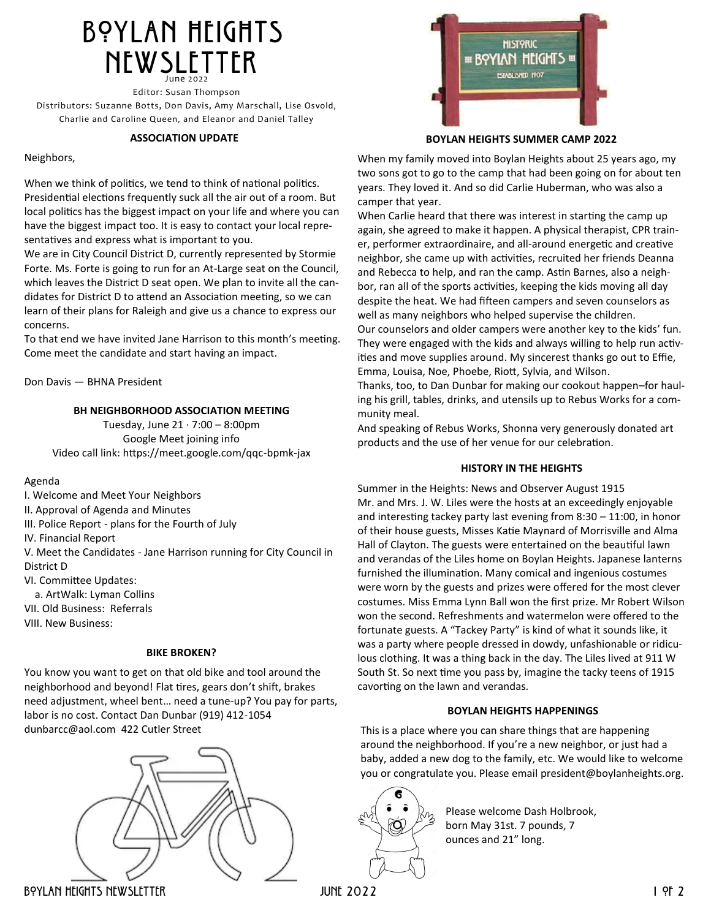# BOYLAN HEIGHTS **NEWSLETTER** June 2022

Editor: Susan Thompson Distributors: Suzanne Botts, Don Davis, Amy Marschall, Lise Osvold, Charlie and Caroline Queen, and Eleanor and Daniel Talley

#### **ASSOCIATION UPDATE**

#### Neighbors,

When we think of politics, we tend to think of national politics. Presidential elections frequently suck all the air out of a room. But local politics has the biggest impact on your life and where you can have the biggest impact too. It is easy to contact your local representatives and express what is important to you.

We are in City Council District D, currently represented by Stormie Forte. Ms. Forte is going to run for an At-Large seat on the Council, which leaves the District D seat open. We plan to invite all the candidates for District D to attend an Association meeting, so we can learn of their plans for Raleigh and give us a chance to express our concerns.

To that end we have invited Jane Harrison to this month's meeting. Come meet the candidate and start having an impact.

Don Davis — BHNA President

### **BH NEIGHBORHOOD ASSOCIATION MEETING**

Tuesday, June  $21 \cdot 7:00 - 8:00 \text{pm}$ Google Meet joining info Video call link: https://meet.google.com/qqc-bpmk-jax

#### Agenda

I. Welcome and Meet Your Neighbors

II. Approval of Agenda and Minutes

III. Police Report - plans for the Fourth of July

IV. Financial Report

V. Meet the Candidates - Jane Harrison running for City Council in District D

VI. Committee Updates:

a. ArtWalk: Lyman Collins

VII. Old Business: Referrals

VIII. New Business:

### **BIKE BROKEN?**

You know you want to get on that old bike and tool around the neighborhood and beyond! Flat tires, gears don't shift, brakes need adjustment, wheel bent… need a tune-up? You pay for parts, labor is no cost. Contact Dan Dunbar (919) 412-1054 [dunbarcc@aol.com](mailto:dunbarcc@aol.com) 422 Cutler Street





**BOYLAN HEIGHTS SUMMER CAMP 2022**

When my family moved into Boylan Heights about 25 years ago, my two sons got to go to the camp that had been going on for about ten years. They loved it. And so did Carlie Huberman, who was also a camper that year.

When Carlie heard that there was interest in starting the camp up again, she agreed to make it happen. A physical therapist, CPR trainer, performer extraordinaire, and all-around energetic and creative neighbor, she came up with activities, recruited her friends Deanna and Rebecca to help, and ran the camp. Astin Barnes, also a neighbor, ran all of the sports activities, keeping the kids moving all day despite the heat. We had fifteen campers and seven counselors as well as many neighbors who helped supervise the children.

Our counselors and older campers were another key to the kids' fun. They were engaged with the kids and always willing to help run activities and move supplies around. My sincerest thanks go out to Effie, Emma, Louisa, Noe, Phoebe, Riott, Sylvia, and Wilson.

Thanks, too, to Dan Dunbar for making our cookout happen–for hauling his grill, tables, drinks, and utensils up to Rebus Works for a community meal.

And speaking of Rebus Works, Shonna very generously donated art products and the use of her venue for our celebration.

### **HISTORY IN THE HEIGHTS**

Summer in the Heights: News and Observer August 1915 Mr. and Mrs. J. W. Liles were the hosts at an exceedingly enjoyable and interesting tackey party last evening from 8:30 – 11:00, in honor of their house guests, Misses Katie Maynard of Morrisville and Alma Hall of Clayton. The guests were entertained on the beautiful lawn and verandas of the Liles home on Boylan Heights. Japanese lanterns furnished the illumination. Many comical and ingenious costumes were worn by the guests and prizes were offered for the most clever costumes. Miss Emma Lynn Ball won the first prize. Mr Robert Wilson won the second. Refreshments and watermelon were offered to the fortunate guests. A "Tackey Party" is kind of what it sounds like, it was a party where people dressed in dowdy, unfashionable or ridiculous clothing. It was a thing back in the day. The Liles lived at 911 W South St. So next time you pass by, imagine the tacky teens of 1915 cavorting on the lawn and verandas.

#### **BOYLAN HEIGHTS HAPPENINGS**

This is a place where you can share things that are happening around the neighborhood. If you're a new neighbor, or just had a baby, added a new dog to the family, etc. We would like to welcome you or congratulate you. Please email [president@boylanheights.org.](mailto:president@boylanheights.com)

 $\infty$ 

Please welcome Dash Holbrook, born May 31st. 7 pounds, 7 ounces and 21" long.

Boylan Heights Newsletter june 2022 1 of 2